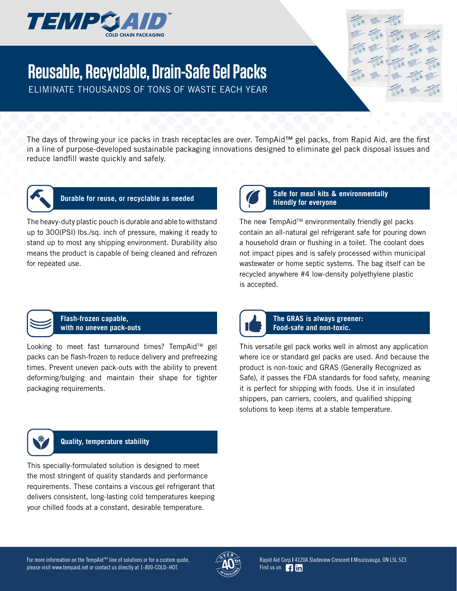

# **Reusable, Recyclable, Drain-Safe Gel Packs**

ELIMINATE THOUSANDS OF TONS OF WASTE EACH YEAR

The days of throwing your ice packs in trash receptacles are over. TempAid™ gel packs, from Rapid Aid, are the first in a line of purpose-developed sustainable packaging innovations designed to eliminate gel pack disposal issues and reduce landfill waste quickly and safely.



## **f** *f h durable for reuse, or recyclable as needed* **<b>***friendly for everyone*

The heavy-duty plastic pouch is durable and able to withstand up to 300(PSI) lbs./sq. inch of pressure, making it ready to stand up to most any shipping environment. Durability also means the product is capable of being cleaned and refrozen for repeated use.



## **Safe for meal kits & environmentally**

意思 医高度 医心理 医心理 医心理 医心理 医心理 医心理

 $\mathcal{Z}_3 \triangleq \mathcal{Z}_3$ 

The new TempAid™ environmentally friendly gel packs contain an all-natural gel refrigerant safe for pouring down a household drain or flushing in a toilet. The coolant does not impact pipes and is safely processed within municipal wastewater or home septic systems. The bag itself can be recycled anywhere #4 low-density polyethylene plastic is accepted.



#### **Flash-frozen capable, with no uneven pack-outs**

Looking to meet fast turnaround times? TempAid™ gel packs can be flash-frozen to reduce delivery and prefreezing times. Prevent uneven pack-outs with the ability to prevent deforming/bulging and maintain their shape for tighter packaging requirements.



#### **The GRAS is always greener: Food-safe and non-toxic.**

This versatile gel pack works well in almost any application where ice or standard gel packs are used. And because the product is non-toxic and GRAS (Generally Recognized as Safe), it passes the FDA standards for food safety, meaning it is perfect for shipping with foods. Use it in insulated shippers, pan carriers, coolers, and qualified shipping solutions to keep items at a stable temperature.



#### **Quality, temperature stability**

This specially-formulated solution is designed to meet the most stringent of quality standards and performance requirements. These contains a viscous gel refrigerant that delivers consistent, long-lasting cold temperatures keeping your chilled foods at a constant, desirable temperature.